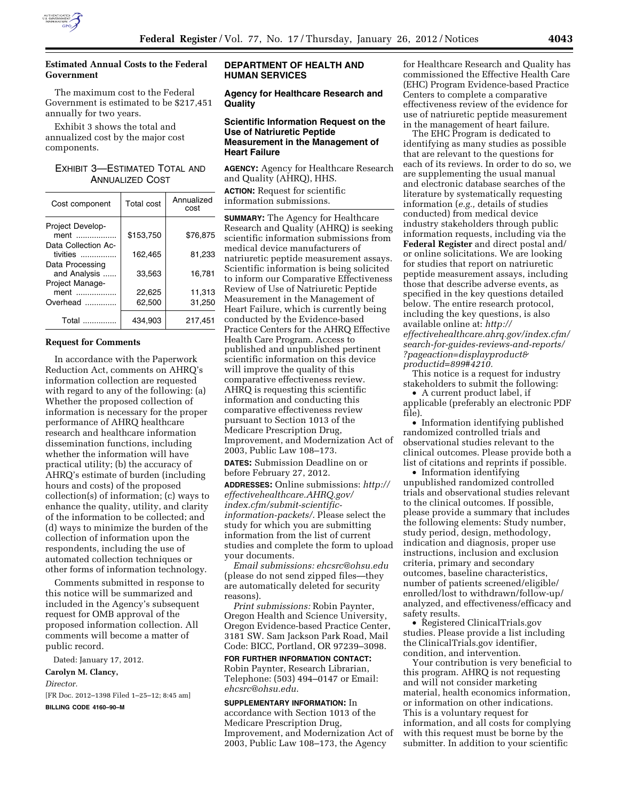

# **Estimated Annual Costs to the Federal Government**

The maximum cost to the Federal Government is estimated to be \$217,451 annually for two years.

Exhibit 3 shows the total and annualized cost by the major cost components.

# EXHIBIT 3—ESTIMATED TOTAL AND ANNUALIZED COST

| Cost component                  | <b>Total cost</b> | Annualized<br>cost |
|---------------------------------|-------------------|--------------------|
| Project Develop-                |                   |                    |
| ment                            | \$153,750         | \$76,875           |
| Data Collection Ac-<br>tivities | 162.465           | 81,233             |
| Data Processing<br>and Analysis | 33,563            | 16,781             |
| Project Manage-                 |                   |                    |
| ment                            | 22.625            | 11.313             |
| Overhead                        | 62,500            | 31,250             |
| Total<br>.                      | 434,903           | 217.451            |

### **Request for Comments**

In accordance with the Paperwork Reduction Act, comments on AHRQ's information collection are requested with regard to any of the following: (a) Whether the proposed collection of information is necessary for the proper performance of AHRQ healthcare research and healthcare information dissemination functions, including whether the information will have practical utility; (b) the accuracy of AHRQ's estimate of burden (including hours and costs) of the proposed collection(s) of information; (c) ways to enhance the quality, utility, and clarity of the information to be collected; and (d) ways to minimize the burden of the collection of information upon the respondents, including the use of automated collection techniques or other forms of information technology.

Comments submitted in response to this notice will be summarized and included in the Agency's subsequent request for OMB approval of the proposed information collection. All comments will become a matter of public record.

Dated: January 17, 2012.

#### **Carolyn M. Clancy,**

*Director.*  [FR Doc. 2012–1398 Filed 1–25–12; 8:45 am] **BILLING CODE 4160–90–M** 

# **DEPARTMENT OF HEALTH AND HUMAN SERVICES**

# **Agency for Healthcare Research and Quality**

### **Scientific Information Request on the Use of Natriuretic Peptide Measurement in the Management of Heart Failure**

**AGENCY:** Agency for Healthcare Research and Quality (AHRQ), HHS.

**ACTION:** Request for scientific information submissions.

**SUMMARY:** The Agency for Healthcare Research and Quality (AHRQ) is seeking scientific information submissions from medical device manufacturers of natriuretic peptide measurement assays. Scientific information is being solicited to inform our Comparative Effectiveness Review of Use of Natriuretic Peptide Measurement in the Management of Heart Failure, which is currently being conducted by the Evidence-based Practice Centers for the AHRQ Effective Health Care Program. Access to published and unpublished pertinent scientific information on this device will improve the quality of this comparative effectiveness review. AHRQ is requesting this scientific information and conducting this comparative effectiveness review pursuant to Section 1013 of the Medicare Prescription Drug, Improvement, and Modernization Act of 2003, Public Law 108–173.

**DATES:** Submission Deadline on or before February 27, 2012.

**ADDRESSES:** Online submissions: *[http://](http://effectivehealthcare.AHRQ.gov/index.cfm/submit-scientific-information-packets/)  [effectivehealthcare.AHRQ.gov/](http://effectivehealthcare.AHRQ.gov/index.cfm/submit-scientific-information-packets/) [index.cfm/submit-scientific](http://effectivehealthcare.AHRQ.gov/index.cfm/submit-scientific-information-packets/)[information-packets/](http://effectivehealthcare.AHRQ.gov/index.cfm/submit-scientific-information-packets/)*. Please select the study for which you are submitting information from the list of current studies and complete the form to upload your documents.

*Email submissions: [ehcsrc@ohsu.edu](mailto:ehcsrc@ohsu.edu)*  (please do not send zipped files—they are automatically deleted for security reasons).

*Print submissions:* Robin Paynter, Oregon Health and Science University, Oregon Evidence-based Practice Center, 3181 SW. Sam Jackson Park Road, Mail Code: BICC, Portland, OR 97239–3098.

**FOR FURTHER INFORMATION CONTACT:**  Robin Paynter, Research Librarian, Telephone: (503) 494–0147 or Email: *[ehcsrc@ohsu.edu](mailto:ehcsrc@ohsu.edu)*.

**SUPPLEMENTARY INFORMATION:** In accordance with Section 1013 of the Medicare Prescription Drug, Improvement, and Modernization Act of 2003, Public Law 108–173, the Agency

for Healthcare Research and Quality has commissioned the Effective Health Care (EHC) Program Evidence-based Practice Centers to complete a comparative effectiveness review of the evidence for use of natriuretic peptide measurement in the management of heart failure.

The EHC Program is dedicated to identifying as many studies as possible that are relevant to the questions for each of its reviews. In order to do so, we are supplementing the usual manual and electronic database searches of the literature by systematically requesting information (*e.g.,* details of studies conducted) from medical device industry stakeholders through public information requests, including via the **Federal Register** and direct postal and/ or online solicitations. We are looking for studies that report on natriuretic peptide measurement assays, including those that describe adverse events, as specified in the key questions detailed below. The entire research protocol, including the key questions, is also available online at: *[http://](http://effectivehealthcare.ahrq.gov/index.cfm/search-for-guides-reviews-and-reports/?pageaction=displayproduct&productid=899#4210) [effectivehealthcare.ahrq.gov/index.cfm/](http://effectivehealthcare.ahrq.gov/index.cfm/search-for-guides-reviews-and-reports/?pageaction=displayproduct&productid=899#4210)  [search-for-guides-reviews-and-reports/](http://effectivehealthcare.ahrq.gov/index.cfm/search-for-guides-reviews-and-reports/?pageaction=displayproduct&productid=899#4210) [?pageaction=displayproduct&](http://effectivehealthcare.ahrq.gov/index.cfm/search-for-guides-reviews-and-reports/?pageaction=displayproduct&productid=899#4210) [productid=899#4210.](http://effectivehealthcare.ahrq.gov/index.cfm/search-for-guides-reviews-and-reports/?pageaction=displayproduct&productid=899#4210)* 

This notice is a request for industry stakeholders to submit the following:

• A current product label, if applicable (preferably an electronic PDF file).

• Information identifying published randomized controlled trials and observational studies relevant to the clinical outcomes. Please provide both a list of citations and reprints if possible.

• Information identifying unpublished randomized controlled trials and observational studies relevant to the clinical outcomes. If possible, please provide a summary that includes the following elements: Study number, study period, design, methodology, indication and diagnosis, proper use instructions, inclusion and exclusion criteria, primary and secondary outcomes, baseline characteristics, number of patients screened/eligible/ enrolled/lost to withdrawn/follow-up/ analyzed, and effectiveness/efficacy and safety results.

• Registered ClinicalTrials.gov studies. Please provide a list including the ClinicalTrials.gov identifier, condition, and intervention.

Your contribution is very beneficial to this program. AHRQ is not requesting and will not consider marketing material, health economics information, or information on other indications. This is a voluntary request for information, and all costs for complying with this request must be borne by the submitter. In addition to your scientific